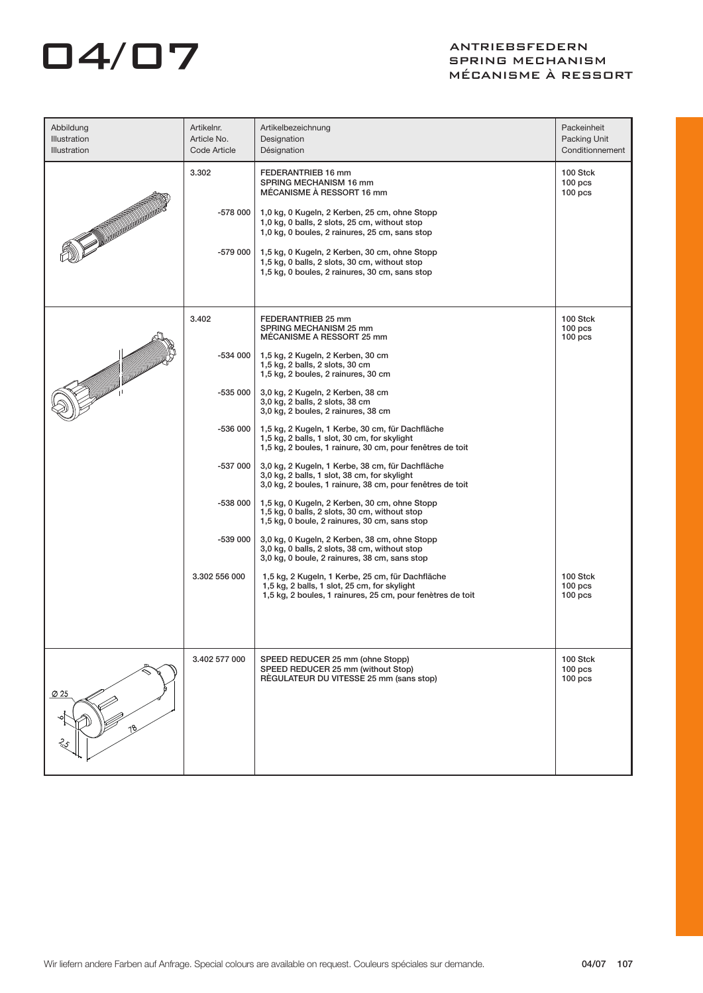## O4/07 ANTRIEBSFEDERN

## SPRING MECHANISM MÉCANISME À RESSORT

| Abbildung<br>Illustration<br><b>Illustration</b> | Artikelnr.<br>Article No.<br>Code Article                                        | Artikelbezeichnung<br>Designation<br>Désignation                                                                                                                                                                                                                                                                                                                                                                                                                                                                                                                                                                                                                                                                                                                                                                                                                                                                                                | Packeinheit<br>Packing Unit<br>Conditionnement       |
|--------------------------------------------------|----------------------------------------------------------------------------------|-------------------------------------------------------------------------------------------------------------------------------------------------------------------------------------------------------------------------------------------------------------------------------------------------------------------------------------------------------------------------------------------------------------------------------------------------------------------------------------------------------------------------------------------------------------------------------------------------------------------------------------------------------------------------------------------------------------------------------------------------------------------------------------------------------------------------------------------------------------------------------------------------------------------------------------------------|------------------------------------------------------|
| <b>TANARISM</b>                                  | 3.302<br>-578 000<br>$-579000$                                                   | FEDERANTRIEB 16 mm<br>SPRING MECHANISM 16 mm<br>MÉCANISME À RESSORT 16 mm<br>1,0 kg, 0 Kugeln, 2 Kerben, 25 cm, ohne Stopp<br>1,0 kg, 0 balls, 2 slots, 25 cm, without stop<br>1,0 kg, 0 boules, 2 rainures, 25 cm, sans stop<br>1,5 kg, 0 Kugeln, 2 Kerben, 30 cm, ohne Stopp<br>1,5 kg, 0 balls, 2 slots, 30 cm, without stop<br>1,5 kg, 0 boules, 2 rainures, 30 cm, sans stop                                                                                                                                                                                                                                                                                                                                                                                                                                                                                                                                                               | 100 Stck<br>100 <sub>pos</sub><br>$100$ pcs          |
|                                                  | 3.402<br>-534 000<br>$-535000$<br>$-536000$<br>$-537000$<br>-538 000<br>-539 000 | FEDERANTRIEB 25 mm<br>SPRING MECHANISM 25 mm<br>MECANISME A RESSORT 25 mm<br>1,5 kg, 2 Kugeln, 2 Kerben, 30 cm<br>1,5 kg, 2 balls, 2 slots, 30 cm<br>1,5 kg, 2 boules, 2 rainures, 30 cm<br>3,0 kg, 2 Kugeln, 2 Kerben, 38 cm<br>3,0 kg, 2 balls, 2 slots, 38 cm<br>3,0 kg, 2 boules, 2 rainures, 38 cm<br>1,5 kg, 2 Kugeln, 1 Kerbe, 30 cm, für Dachfläche<br>1,5 kg, 2 balls, 1 slot, 30 cm, for skylight<br>1,5 kg, 2 boules, 1 rainure, 30 cm, pour fenêtres de toit<br>3,0 kg, 2 Kugeln, 1 Kerbe, 38 cm, für Dachfläche<br>3,0 kg, 2 balls, 1 slot, 38 cm, for skylight<br>3,0 kg, 2 boules, 1 rainure, 38 cm, pour fenêtres de toit<br>1,5 kg, 0 Kugeln, 2 Kerben, 30 cm, ohne Stopp<br>1,5 kg, 0 balls, 2 slots, 30 cm, without stop<br>1,5 kg, 0 boule, 2 rainures, 30 cm, sans stop<br>3,0 kg, 0 Kugeln, 2 Kerben, 38 cm, ohne Stopp<br>3,0 kg, 0 balls, 2 slots, 38 cm, without stop<br>3,0 kg, 0 boule, 2 rainures, 38 cm, sans stop | 100 Stck<br>100 <sub>pos</sub><br>100 <sub>pos</sub> |
|                                                  | 3.302 556 000                                                                    | 1,5 kg, 2 Kugeln, 1 Kerbe, 25 cm, für Dachfläche<br>1,5 kg, 2 balls, 1 slot, 25 cm, for skylight<br>1,5 kg, 2 boules, 1 rainures, 25 cm, pour fenètres de toit                                                                                                                                                                                                                                                                                                                                                                                                                                                                                                                                                                                                                                                                                                                                                                                  | 100 Stck<br>100 <sub>pos</sub><br>100 <sub>pos</sub> |
| Ø 25<br>ર્ટ્ડ                                    | 3.402 577 000                                                                    | SPEED REDUCER 25 mm (ohne Stopp)<br>SPEED REDUCER 25 mm (without Stop)<br>REGULATEUR DU VITESSE 25 mm (sans stop)                                                                                                                                                                                                                                                                                                                                                                                                                                                                                                                                                                                                                                                                                                                                                                                                                               | 100 Stck<br>$100$ pcs<br>$100$ pcs                   |